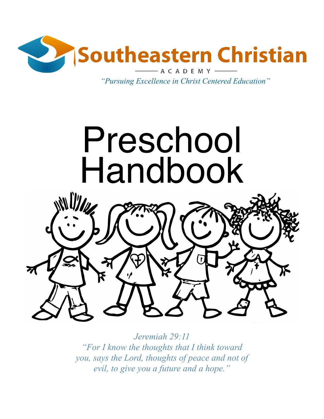

*"Pursuing Excellence in Christ Centered Education"*



*Jeremiah 29:11 "For I know the thoughts that I think toward you, says the Lord, thoughts of peace and not of evil, to give you a future and a hope."*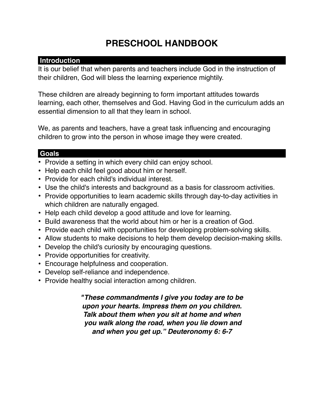# **PRESCHOOL HANDBOOK**

# **Introduction**

It is our belief that when parents and teachers include God in the instruction of their children, God will bless the learning experience mightily.

These children are already beginning to form important attitudes towards learning, each other, themselves and God. Having God in the curriculum adds an essential dimension to all that they learn in school.

We, as parents and teachers, have a great task influencing and encouraging children to grow into the person in whose image they were created.

# **Goals**

- Provide a setting in which every child can enjoy school.
- Help each child feel good about him or herself.
- Provide for each child's individual interest.
- Use the child's interests and background as a basis for classroom activities.
- Provide opportunities to learn academic skills through day-to-day activities in which children are naturally engaged.
- Help each child develop a good attitude and love for learning.
- Build awareness that the world about him or her is a creation of God.
- Provide each child with opportunities for developing problem-solving skills.
- Allow students to make decisions to help them develop decision-making skills.
- Develop the child's curiosity by encouraging questions.
- Provide opportunities for creativity.
- Encourage helpfulness and cooperation.
- Develop self-reliance and independence.
- Provide healthy social interaction among children.

*"These commandments I give you today are to be upon your hearts. Impress them on you children. Talk about them when you sit at home and when you walk along the road, when you lie down and and when you get up." Deuteronomy 6: 6-7*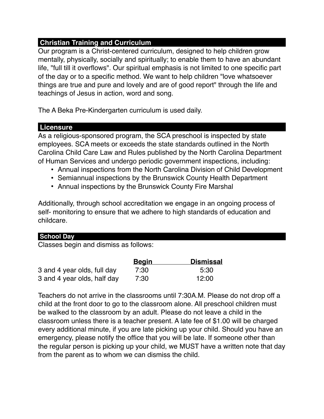# **Christian Training and Curriculum**

Our program is a Christ-centered curriculum, designed to help children grow mentally, physically, socially and spiritually; to enable them to have an abundant life, "full till it overflows". Our spiritual emphasis is not limited to one specific part of the day or to a specific method. We want to help children "love whatsoever things are true and pure and lovely and are of good report" through the life and teachings of Jesus in action, word and song.

The A Beka Pre-Kindergarten curriculum is used daily.

# **Licensure**

As a religious-sponsored program, the SCA preschool is inspected by state employees. SCA meets or exceeds the state standards outlined in the North Carolina Child Care Law and Rules published by the North Carolina Department of Human Services and undergo periodic government inspections, including:

- Annual inspections from the North Carolina Division of Child Development
- Semiannual inspections by the Brunswick County Health Department
- Annual inspections by the Brunswick County Fire Marshal

Additionally, through school accreditation we engage in an ongoing process of self- monitoring to ensure that we adhere to high standards of education and childcare.

# **School Day**

Classes begin and dismiss as follows:

|                             | <u>Begin</u> | <b>Dismissal</b> |  |
|-----------------------------|--------------|------------------|--|
| 3 and 4 year olds, full day | 7:30         | 5:30             |  |
| 3 and 4 year olds, half day | 7:30         | 12:00            |  |

Teachers do not arrive in the classrooms until 7:30A.M. Please do not drop off a child at the front door to go to the classroom alone. All preschool children must be walked to the classroom by an adult. Please do not leave a child in the classroom unless there is a teacher present. A late fee of \$1.00 will be charged every additional minute, if you are late picking up your child. Should you have an emergency, please notify the office that you will be late. If someone other than the regular person is picking up your child, we MUST have a written note that day from the parent as to whom we can dismiss the child.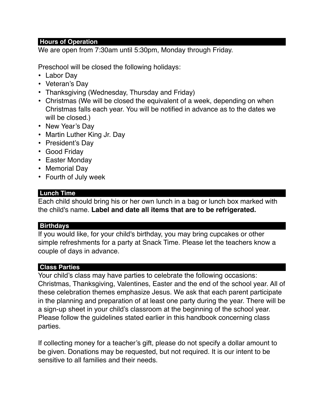#### **Hours of Operation**

We are open from 7:30am until 5:30pm, Monday through Friday.

Preschool will be closed the following holidays:

- Labor Day
- Veteran's Day
- Thanksgiving (Wednesday, Thursday and Friday)
- Christmas (We will be closed the equivalent of a week, depending on when Christmas falls each year. You will be notified in advance as to the dates we will be closed.)
- New Year's Day
- Martin Luther King Jr. Day
- President's Day
- Good Friday
- Easter Monday
- Memorial Day
- Fourth of July week

## **Lunch Time**

Each child should bring his or her own lunch in a bag or lunch box marked with the child's name. **Label and date all items that are to be refrigerated.** 

#### **Birthdays**

If you would like, for your child's birthday, you may bring cupcakes or other simple refreshments for a party at Snack Time. Please let the teachers know a couple of days in advance.

## **Class Parties**

Your child's class may have parties to celebrate the following occasions: Christmas, Thanksgiving, Valentines, Easter and the end of the school year. All of these celebration themes emphasize Jesus. We ask that each parent participate in the planning and preparation of at least one party during the year. There will be a sign-up sheet in your child's classroom at the beginning of the school year. Please follow the guidelines stated earlier in this handbook concerning class parties.

If collecting money for a teacher's gift, please do not specify a dollar amount to be given. Donations may be requested, but not required. It is our intent to be sensitive to all families and their needs.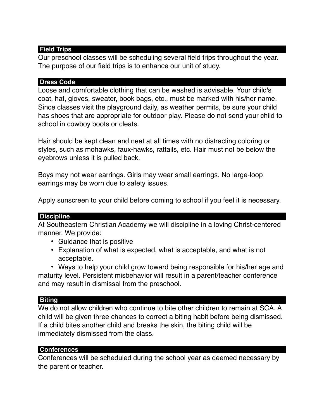## **Field Trips**

Our preschool classes will be scheduling several field trips throughout the year. The purpose of our field trips is to enhance our unit of study.

#### **Dress Code**

Loose and comfortable clothing that can be washed is advisable. Your child's coat, hat, gloves, sweater, book bags, etc., must be marked with his/her name. Since classes visit the playground daily, as weather permits, be sure your child has shoes that are appropriate for outdoor play. Please do not send your child to school in cowboy boots or cleats.

Hair should be kept clean and neat at all times with no distracting coloring or styles, such as mohawks, faux-hawks, rattails, etc. Hair must not be below the eyebrows unless it is pulled back.

Boys may not wear earrings. Girls may wear small earrings. No large-loop earrings may be worn due to safety issues.

Apply sunscreen to your child before coming to school if you feel it is necessary.

#### **Discipline**

At Southeastern Christian Academy we will discipline in a loving Christ-centered manner. We provide:

- Guidance that is positive
- Explanation of what is expected, what is acceptable, and what is not acceptable.

• Ways to help your child grow toward being responsible for his/her age and maturity level. Persistent misbehavior will result in a parent/teacher conference and may result in dismissal from the preschool.

#### **Biting**

We do not allow children who continue to bite other children to remain at SCA. A child will be given three chances to correct a biting habit before being dismissed. If a child bites another child and breaks the skin, the biting child will be immediately dismissed from the class.

#### **Conferences**

Conferences will be scheduled during the school year as deemed necessary by the parent or teacher.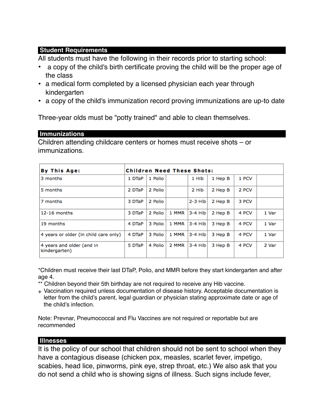## **Student Requirements**

All students must have the following in their records prior to starting school:

- a copy of the child's birth certificate proving the child will be the proper age of the class
- a medical form completed by a licensed physician each year through kindergarten
- a copy of the child's immunization record proving immunizations are up-to date

Three-year olds must be "potty trained" and able to clean themselves.

#### **Immunizations**

Children attending childcare centers or homes must receive shots – or immunizations.

| By This Age:                               | <b>Children Need These Shots:</b> |         |       |           |         |       |       |  |
|--------------------------------------------|-----------------------------------|---------|-------|-----------|---------|-------|-------|--|
| 3 months                                   | 1 DTaP                            | 1 Polio |       | 1 Hib     | 1 Hep B | 1 PCV |       |  |
| 5 months                                   | 2 DTaP                            | 2 Polio |       | 2 Hib     | 2 Hep B | 2 PCV |       |  |
| 7 months                                   | 3 DTaP                            | 2 Polio |       | $2-3$ Hib | 2 Hep B | 3 PCV |       |  |
| $12-16$ months                             | 3 DTaP                            | 2 Polio | 1 MMR | $3-4$ Hib | 2 Hep B | 4 PCV | 1 Var |  |
| 19 months                                  | 4 DTaP                            | 3 Polio | 1 MMR | $3-4$ Hib | 3 Hep B | 4 PCV | 1 Var |  |
| 4 years or older (in child care only)      | 4 DTaP                            | 3 Polio | 1 MMR | $3-4$ Hib | 3 Hep B | 4 PCV | 1 Var |  |
| 4 years and older (and in<br>kindergarten) | 5 DTaP                            | 4 Polio | 2 MMR | 3-4 Hib   | 3 Hep B | 4 PCV | 2 Var |  |

\*Children must receive their last DTaP, Polio, and MMR before they start kindergarten and after age 4.

- \*\* Children beyond their 5th birthday are not required to receive any Hib vaccine.
- + Vaccination required unless documentation of disease history. Acceptable documentation is letter from the child's parent, legal guardian or physician stating approximate date or age of the child's infection.

Note: Prevnar, Pneumococcal and Flu Vaccines are not required or reportable but are recommended

#### **Illnesses**

It is the policy of our school that children should not be sent to school when they have a contagious disease (chicken pox, measles, scarlet fever, impetigo, scabies, head lice, pinworms, pink eye, strep throat, etc.) We also ask that you do not send a child who is showing signs of illness. Such signs include fever,